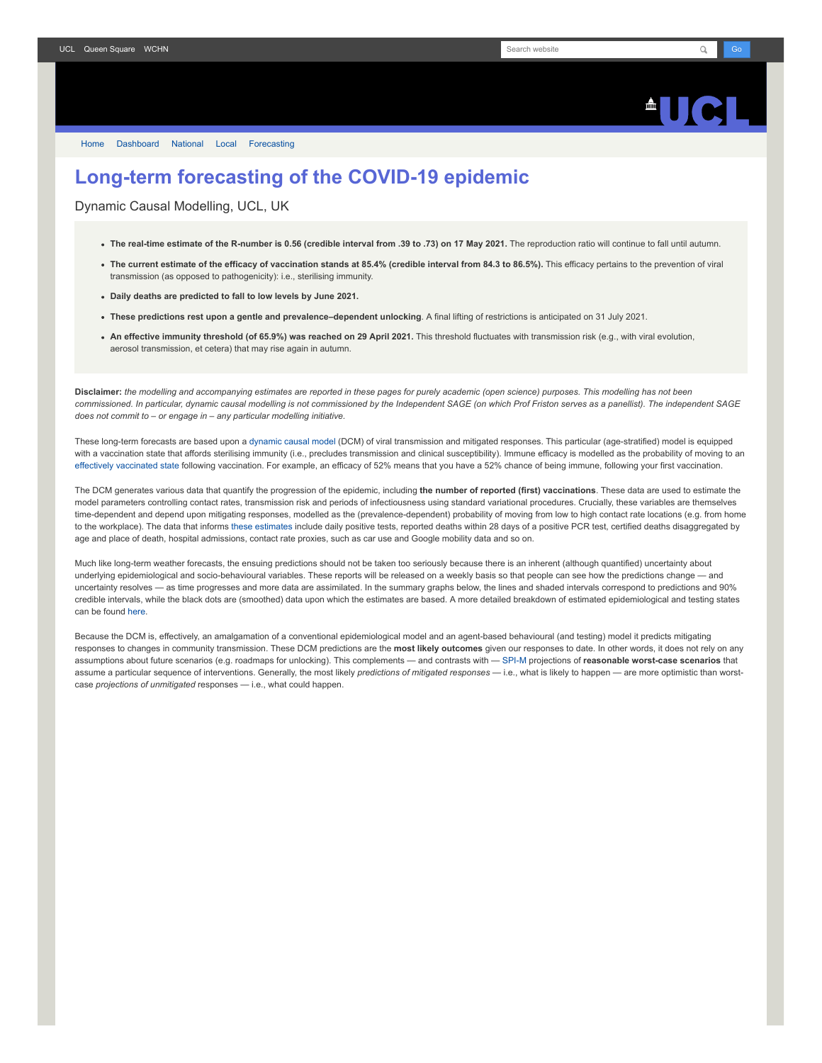## $\triangle$ ll $\triangle$

[Home](https://www.fil.ion.ucl.ac.uk/spm/covid-19/) [Dashboard](https://www.fil.ion.ucl.ac.uk/spm/covid-19/dashboard/) [National](https://www.fil.ion.ucl.ac.uk/spm/covid-19/dashboard/) [Local](https://www.fil.ion.ucl.ac.uk/spm/covid-19/dashboard/local/) [Forecasting](https://www.fil.ion.ucl.ac.uk/spm/covid-19/forecasting/)

## **Long-term forecasting of the COVID-19 epidemic**

Dynamic Causal Modelling, UCL, UK

- **The real-time estimate of the R-number is 0.56 (credible interval from .39 to .73) on 17 May 2021.** The reproduction ratio will continue to fall until autumn.
- **The current estimate of the efficacy of vaccination stands at 85.4% (credible interval from 84.3 to 86.5%).** This efficacy pertains to the prevention of viral transmission (as opposed to pathogenicity): i.e., sterilising immunity.
- **Daily deaths are predicted to fall to low levels by June 2021.**
- **These predictions rest upon a gentle and prevalence–dependent unlocking**. A final lifting of restrictions is anticipated on 31 July 2021.
- **An effective immunity threshold (of 65.9%) was reached on 29 April 2021.** This threshold fluctuates with transmission risk (e.g., with viral evolution, aerosol transmission, et cetera) that may rise again in autumn.

**Disclaimer:** *the modelling and accompanying estimates are reported in these pages for purely academic (open science) purposes. This modelling has not been commissioned. In particular, dynamic causal modelling is not commissioned by the Independent SAGE (on which Prof Friston serves as a panellist). The independent SAGE does not commit to – or engage in – any particular modelling initiative.*

These long-term forecasts are based upon a [dynamic causal model](https://www.fil.ion.ucl.ac.uk/spm/covid-19) (DCM) of viral transmission and mitigated responses. This particular (age-stratified) model is equipped with a vaccination state that affords sterilising immunity (i.e., precludes transmission and clinical susceptibility). Immune efficacy is modelled as the probability of moving to an [effectively vaccinated state](https://www.medrxiv.org/content/10.1101/2021.01.10.21249520v1) following vaccination. For example, an efficacy of 52% means that you have a 52% chance of being immune, following your first vaccination.

The DCM generates various data that quantify the progression of the epidemic, including **the number of reported (first) vaccinations**. These data are used to estimate the model parameters controlling contact rates, transmission risk and periods of infectiousness using standard variational procedures. Crucially, these variables are themselves time-dependent and depend upon mitigating responses, modelled as the (prevalence-dependent) probability of moving from low to high contact rate locations (e.g. from home to the workplace). The data that informs [these estimates](https://www.fil.ion.ucl.ac.uk/spm/covid-19/dashboard/) include daily positive tests, reported deaths within 28 days of a positive PCR test, certified deaths disaggregated by age and place of death, hospital admissions, contact rate proxies, such as car use and Google mobility data and so on.

Much like long-term weather forecasts, the ensuing predictions should not be taken too seriously because there is an inherent (although quantified) uncertainty about underlying epidemiological and socio-behavioural variables. These reports will be released on a weekly basis so that people can see how the predictions change — and uncertainty resolves — as time progresses and more data are assimilated. In the summary graphs below, the lines and shaded intervals correspond to predictions and 90% credible intervals, while the black dots are (smoothed) data upon which the estimates are based. A more detailed breakdown of estimated epidemiological and testing states can be found [here](https://www.fil.ion.ucl.ac.uk/spm/covid-19/dashboard/).

Because the DCM is, effectively, an amalgamation of a conventional epidemiological model and an agent-based behavioural (and testing) model it predicts mitigating responses to changes in community transmission. These DCM predictions are the **most likely outcomes** given our responses to date. In other words, it does not rely on any assumptions about future scenarios (e.g. roadmaps for unlocking). This complements — and contrasts with — [SPI-M](https://www.gov.uk/government/groups/scientific-pandemic-influenza-subgroup-on-modelling) projections of reasonable worst-case scenarios that assume a particular sequence of interventions. Generally, the most likely *predictions of mitigated responses* — i.e., what is likely to happen — are more optimistic than worstcase *projections of unmitigated* responses — i.e., what could happen.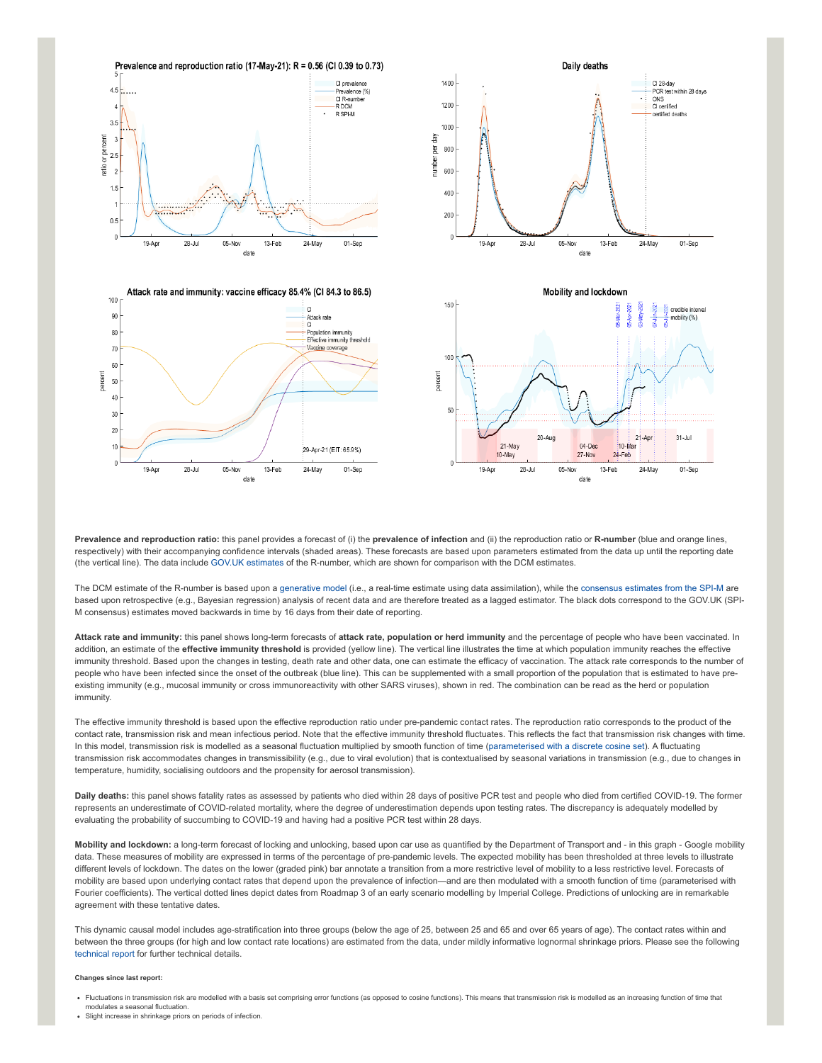

**Prevalence and reproduction ratio:** this panel provides a forecast of (i) the **prevalence of infection** and (ii) the reproduction ratio or **R-number** (blue and orange lines, respectively) with their accompanying confidence intervals (shaded areas). These forecasts are based upon parameters estimated from the data up until the reporting date (the vertical line). The data include [GOV.UK estimates](https://www.gov.uk/guidance/the-r-number-in-the-uk#latest-r-and-growth-rate) of the R-number, which are shown for comparison with the DCM estimates.

The DCM estimate of the R-number is based upon a [generative model](https://en.wikipedia.org/wiki/Generative_model) (i.e., a real-time estimate using data assimilation), while the [consensus estimates from the SPI-M](https://www.gov.uk/guidance/the-r-number-in-the-uk#contents) are based upon retrospective (e.g., Bayesian regression) analysis of recent data and are therefore treated as a lagged estimator. The black dots correspond to the GOV.UK (SPI-M consensus) estimates moved backwards in time by 16 days from their date of reporting.

**Attack rate and immunity:** this panel shows long-term forecasts of **attack rate, population or herd immunity** and the percentage of people who have been vaccinated. In addition, an estimate of the **effective immunity threshold** is provided (yellow line). The vertical line illustrates the time at which population immunity reaches the effective immunity threshold. Based upon the changes in testing, death rate and other data, one can estimate the efficacy of vaccination. The attack rate corresponds to the number of people who have been infected since the onset of the outbreak (blue line). This can be supplemented with a small proportion of the population that is estimated to have preexisting immunity (e.g., mucosal immunity or cross immunoreactivity with other SARS viruses), shown in red. The combination can be read as the herd or population immunity.

The effective immunity threshold is based upon the effective reproduction ratio under pre-pandemic contact rates. The reproduction ratio corresponds to the product of the contact rate, transmission risk and mean infectious period. Note that the effective immunity threshold fluctuates. This reflects the fact that transmission risk changes with time. In this model, transmission risk is modelled as a seasonal fluctuation multiplied by smooth function of time ([parameterised with a discrete cosine set](https://www.medrxiv.org/content/10.1101/2021.01.10.21249520v1)). A fluctuating transmission risk accommodates changes in transmissibility (e.g., due to viral evolution) that is contextualised by seasonal variations in transmission (e.g., due to changes in temperature, humidity, socialising outdoors and the propensity for aerosol transmission).

**Daily deaths:** this panel shows fatality rates as assessed by patients who died within 28 days of positive PCR test and people who died from certified COVID-19. The former represents an underestimate of COVID-related mortality, where the degree of underestimation depends upon testing rates. The discrepancy is adequately modelled by evaluating the probability of succumbing to COVID-19 and having had a positive PCR test within 28 days.

**Mobility and lockdown:** a long-term forecast of locking and unlocking, based upon car use as quantified by the Department of Transport and - in this graph - Google mobility data. These measures of mobility are expressed in terms of the percentage of pre-pandemic levels. The expected mobility has been thresholded at three levels to illustrate different levels of lockdown. The dates on the lower (graded pink) bar annotate a transition from a more restrictive level of mobility to a less restrictive level. Forecasts of mobility are based upon underlying contact rates that depend upon the prevalence of infection—and are then modulated with a smooth function of time (parameterised with Fourier coefficients). The vertical dotted lines depict dates from Roadmap 3 of an early scenario modelling by Imperial College. Predictions of unlocking are in remarkable agreement with these tentative dates.

This dynamic causal model includes age-stratification into three groups (below the age of 25, between 25 and 65 and over 65 years of age). The contact rates within and between the three groups (for high and low contact rate locations) are estimated from the data, under mildly informative lognormal shrinkage priors. Please see the following [technical report](https://arxiv.org/abs/2011.12400) for further technical details.

## **Changes since last report:**

Fluctuations in transmission risk are modelled with a basis set comprising error functions (as opposed to cosine functions). This means that transmission risk is modelled as an increasing function of time that modulates a seasonal fluctuation. Slight increase in shrinkage priors on periods of infection.